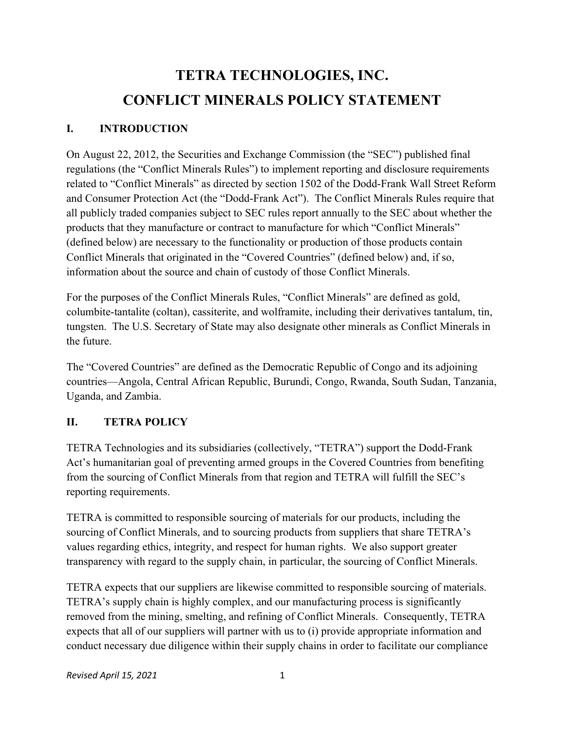## TETRA TECHNOLOGIES, INC. CONFLICT MINERALS POLICY STATEMENT

## I. INTRODUCTION

On August 22, 2012, the Securities and Exchange Commission (the "SEC") published final regulations (the "Conflict Minerals Rules") to implement reporting and disclosure requirements related to "Conflict Minerals" as directed by section 1502 of the Dodd-Frank Wall Street Reform and Consumer Protection Act (the "Dodd-Frank Act"). The Conflict Minerals Rules require that all publicly traded companies subject to SEC rules report annually to the SEC about whether the products that they manufacture or contract to manufacture for which "Conflict Minerals" (defined below) are necessary to the functionality or production of those products contain Conflict Minerals that originated in the "Covered Countries" (defined below) and, if so, information about the source and chain of custody of those Conflict Minerals.

For the purposes of the Conflict Minerals Rules, "Conflict Minerals" are defined as gold, columbite-tantalite (coltan), cassiterite, and wolframite, including their derivatives tantalum, tin, tungsten. The U.S. Secretary of State may also designate other minerals as Conflict Minerals in the future.

The "Covered Countries" are defined as the Democratic Republic of Congo and its adjoining countries—Angola, Central African Republic, Burundi, Congo, Rwanda, South Sudan, Tanzania, Uganda, and Zambia.

## II. TETRA POLICY

TETRA Technologies and its subsidiaries (collectively, "TETRA") support the Dodd-Frank Act's humanitarian goal of preventing armed groups in the Covered Countries from benefiting from the sourcing of Conflict Minerals from that region and TETRA will fulfill the SEC's reporting requirements.

TETRA is committed to responsible sourcing of materials for our products, including the sourcing of Conflict Minerals, and to sourcing products from suppliers that share TETRA's values regarding ethics, integrity, and respect for human rights. We also support greater transparency with regard to the supply chain, in particular, the sourcing of Conflict Minerals.

TETRA expects that our suppliers are likewise committed to responsible sourcing of materials. TETRA's supply chain is highly complex, and our manufacturing process is significantly removed from the mining, smelting, and refining of Conflict Minerals. Consequently, TETRA expects that all of our suppliers will partner with us to (i) provide appropriate information and conduct necessary due diligence within their supply chains in order to facilitate our compliance